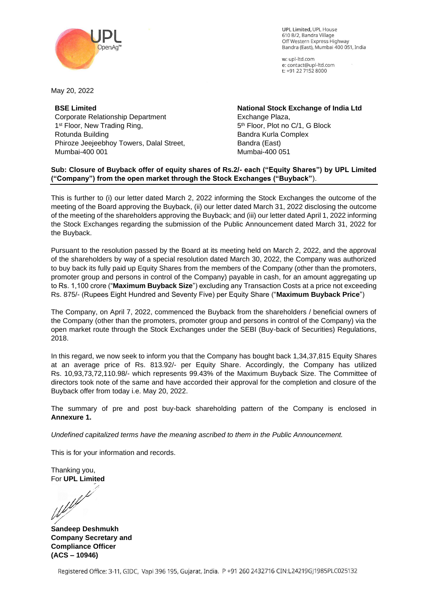

w: upl-ltd.com e: contact@upl-ltd.com t: +91 22 7152 8000



May 20, 2022

**BSE Limited** Corporate Relationship Department 1<sup>st</sup> Floor, New Trading Ring, Rotunda Building Phiroze Jeejeebhoy Towers, Dalal Street, Mumbai-400 001

**National Stock Exchange of India Ltd** Exchange Plaza, 5 th Floor, Plot no C/1, G Block Bandra Kurla Complex Bandra (East) Mumbai-400 051

## **Sub: Closure of Buyback offer of equity shares of Rs.2/- each ("Equity Shares") by UPL Limited ("Company") from the open market through the Stock Exchanges ("Buyback"**).

This is further to (i) our letter dated March 2, 2022 informing the Stock Exchanges the outcome of the meeting of the Board approving the Buyback, (ii) our letter dated March 31, 2022 disclosing the outcome of the meeting of the shareholders approving the Buyback; and (iii) our letter dated April 1, 2022 informing the Stock Exchanges regarding the submission of the Public Announcement dated March 31, 2022 for the Buyback.

Pursuant to the resolution passed by the Board at its meeting held on March 2, 2022, and the approval of the shareholders by way of a special resolution dated March 30, 2022, the Company was authorized to buy back its fully paid up Equity Shares from the members of the Company (other than the promoters, promoter group and persons in control of the Company) payable in cash, for an amount aggregating up to Rs. 1,100 crore ("**Maximum Buyback Size**") excluding any Transaction Costs at a price not exceeding Rs. 875/- (Rupees Eight Hundred and Seventy Five) per Equity Share ("**Maximum Buyback Price**")

The Company, on April 7, 2022, commenced the Buyback from the shareholders / beneficial owners of the Company (other than the promoters, promoter group and persons in control of the Company) via the open market route through the Stock Exchanges under the SEBI (Buy-back of Securities) Regulations, 2018.

In this regard, we now seek to inform you that the Company has bought back 1,34,37,815 Equity Shares at an average price of Rs. 813.92/- per Equity Share. Accordingly, the Company has utilized Rs. 10,93,73,72,110.98/- which represents 99.43% of the Maximum Buyback Size. The Committee of directors took note of the same and have accorded their approval for the completion and closure of the Buyback offer from today i.e. May 20, 2022.

The summary of pre and post buy-back shareholding pattern of the Company is enclosed in **Annexure 1.** 

*Undefined capitalized terms have the meaning ascribed to them in the Public Announcement.* 

This is for your information and records.

Thanking you, For **UPL Limited** 

**Sandeep Deshmukh Company Secretary and Compliance Officer (ACS – 10946)**

Registered Office: 3-11, GIDC, Vapi 396 195, Gujarat, India. P +91 260 2432716 CIN:L24219GJ1985PLC025132